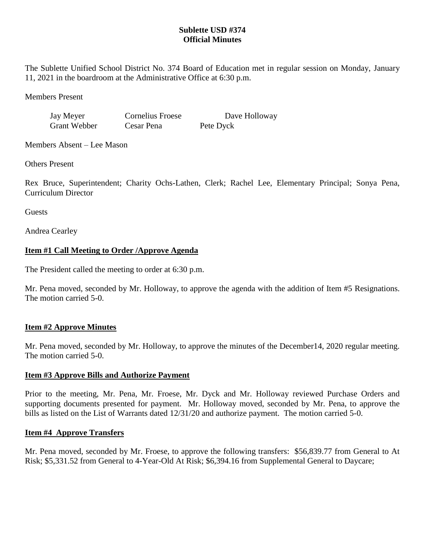## **Sublette USD #374 Official Minutes**

The Sublette Unified School District No. 374 Board of Education met in regular session on Monday, January 11, 2021 in the boardroom at the Administrative Office at 6:30 p.m.

Members Present

Jay Meyer Cornelius Froese Dave Holloway

Grant Webber Cesar Pena Pete Dyck

Members Absent – Lee Mason

Others Present

Rex Bruce, Superintendent; Charity Ochs-Lathen, Clerk; Rachel Lee, Elementary Principal; Sonya Pena, Curriculum Director

**Guests** 

Andrea Cearley

# **Item #1 Call Meeting to Order /Approve Agenda**

The President called the meeting to order at 6:30 p.m.

Mr. Pena moved, seconded by Mr. Holloway, to approve the agenda with the addition of Item #5 Resignations. The motion carried 5-0.

# **Item #2 Approve Minutes**

Mr. Pena moved, seconded by Mr. Holloway, to approve the minutes of the December14, 2020 regular meeting. The motion carried 5-0.

# **Item #3 Approve Bills and Authorize Payment**

Prior to the meeting, Mr. Pena, Mr. Froese, Mr. Dyck and Mr. Holloway reviewed Purchase Orders and supporting documents presented for payment. Mr. Holloway moved, seconded by Mr. Pena, to approve the bills as listed on the List of Warrants dated 12/31/20 and authorize payment. The motion carried 5-0.

# **Item #4 Approve Transfers**

Mr. Pena moved, seconded by Mr. Froese, to approve the following transfers: \$56,839.77 from General to At Risk; \$5,331.52 from General to 4-Year-Old At Risk; \$6,394.16 from Supplemental General to Daycare;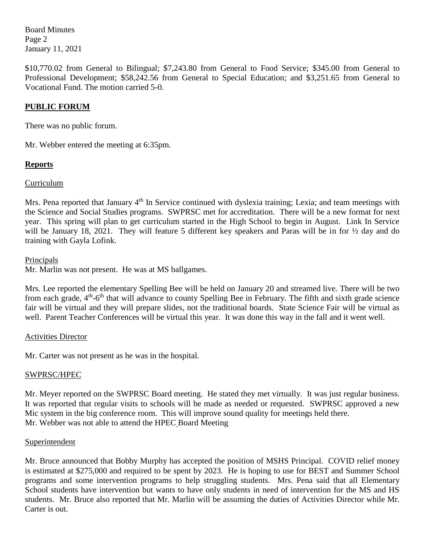Board Minutes Page 2 January 11, 2021

\$10,770.02 from General to Bilingual; \$7,243.80 from General to Food Service; \$345.00 from General to Professional Development; \$58,242.56 from General to Special Education; and \$3,251.65 from General to Vocational Fund. The motion carried 5-0.

## **PUBLIC FORUM**

There was no public forum.

Mr. Webber entered the meeting at 6:35pm.

## **Reports**

### Curriculum

Mrs. Pena reported that January 4<sup>th</sup> In Service continued with dyslexia training; Lexia; and team meetings with the Science and Social Studies programs. SWPRSC met for accreditation. There will be a new format for next year. This spring will plan to get curriculum started in the High School to begin in August. Link In Service will be January 18, 2021. They will feature 5 different key speakers and Paras will be in for  $\frac{1}{2}$  day and do training with Gayla Lofink.

#### Principals

Mr. Marlin was not present. He was at MS ballgames.

Mrs. Lee reported the elementary Spelling Bee will be held on January 20 and streamed live. There will be two from each grade, 4<sup>th</sup>-6<sup>th</sup> that will advance to county Spelling Bee in February. The fifth and sixth grade science fair will be virtual and they will prepare slides, not the traditional boards. State Science Fair will be virtual as well. Parent Teacher Conferences will be virtual this year. It was done this way in the fall and it went well.

#### Activities Director

Mr. Carter was not present as he was in the hospital.

## SWPRSC/HPEC

Mr. Meyer reported on the SWPRSC Board meeting. He stated they met virtually. It was just regular business. It was reported that regular visits to schools will be made as needed or requested. SWPRSC approved a new Mic system in the big conference room. This will improve sound quality for meetings held there. Mr. Webber was not able to attend the HPEC Board Meeting

#### **Superintendent**

Mr. Bruce announced that Bobby Murphy has accepted the position of MSHS Principal. COVID relief money is estimated at \$275,000 and required to be spent by 2023. He is hoping to use for BEST and Summer School programs and some intervention programs to help struggling students. Mrs. Pena said that all Elementary School students have intervention but wants to have only students in need of intervention for the MS and HS students. Mr. Bruce also reported that Mr. Marlin will be assuming the duties of Activities Director while Mr. Carter is out.